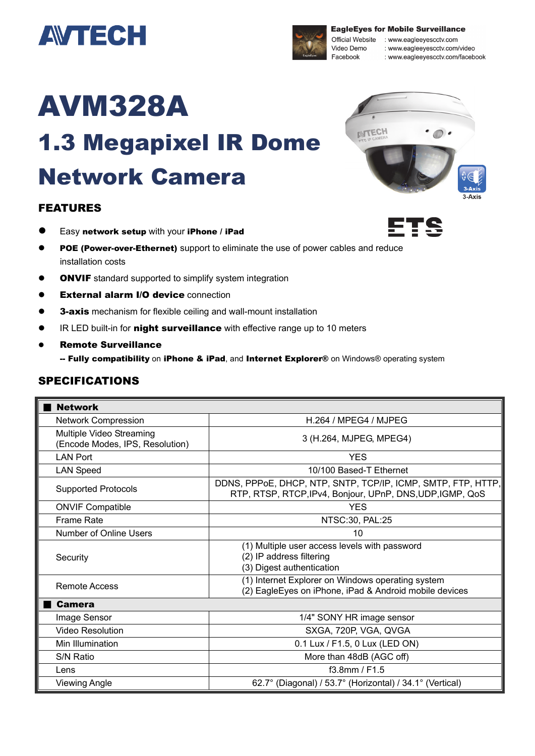



**EagleEyes for Mobile Surveillance** 

Official Website : www.eagleeyescctv.com : www.eagleeyescctv.com/video : www.eagleeyescctv.com/facebook

# AVM328A

## 1.3 Megapixel IR Dome Network Camera

#### FEATURES

- Easy network setup with your iPhone / iPad
- **POE (Power-over-Ethernet)** support to eliminate the use of power cables and reduce installation costs
- **ONVIF** standard supported to simplify system integration
- External alarm I/O device connection
- **3-axis** mechanism for flexible ceiling and wall-mount installation
- **IR LED built-in for night surveillance** with effective range up to 10 meters
- Remote Surveillance -- Fully compatibility on iPhone & iPad, and Internet Explorer® on Windows® operating system

#### SPECIFICATIONS

| <b>Network</b>                                              |                                                                                                                           |
|-------------------------------------------------------------|---------------------------------------------------------------------------------------------------------------------------|
| <b>Network Compression</b>                                  | H.264 / MPEG4 / MJPEG                                                                                                     |
| Multiple Video Streaming<br>(Encode Modes, IPS, Resolution) | 3 (H.264, MJPEG, MPEG4)                                                                                                   |
| <b>LAN Port</b>                                             | <b>YES</b>                                                                                                                |
| <b>LAN Speed</b>                                            | 10/100 Based-T Ethernet                                                                                                   |
| <b>Supported Protocols</b>                                  | DDNS, PPPoE, DHCP, NTP, SNTP, TCP/IP, ICMP, SMTP, FTP, HTTP,<br>RTP, RTSP, RTCP, IPv4, Bonjour, UPnP, DNS, UDP, IGMP, QoS |
| <b>ONVIF Compatible</b>                                     | <b>YES</b>                                                                                                                |
| <b>Frame Rate</b>                                           | NTSC:30, PAL:25                                                                                                           |
| Number of Online Users                                      | 10                                                                                                                        |
| Security                                                    | (1) Multiple user access levels with password<br>(2) IP address filtering<br>(3) Digest authentication                    |
| Remote Access                                               | (1) Internet Explorer on Windows operating system<br>(2) EagleEyes on iPhone, iPad & Android mobile devices               |
| <b>Camera</b>                                               |                                                                                                                           |
| Image Sensor                                                | 1/4" SONY HR image sensor                                                                                                 |
| <b>Video Resolution</b>                                     | SXGA, 720P, VGA, QVGA                                                                                                     |
| Min Illumination                                            | 0.1 Lux / F1.5, 0 Lux (LED ON)                                                                                            |
| S/N Ratio                                                   | More than 48dB (AGC off)                                                                                                  |
| Lens                                                        | f3.8mm / F1.5                                                                                                             |
| <b>Viewing Angle</b>                                        | 62.7° (Diagonal) / 53.7° (Horizontal) / 34.1° (Vertical)                                                                  |